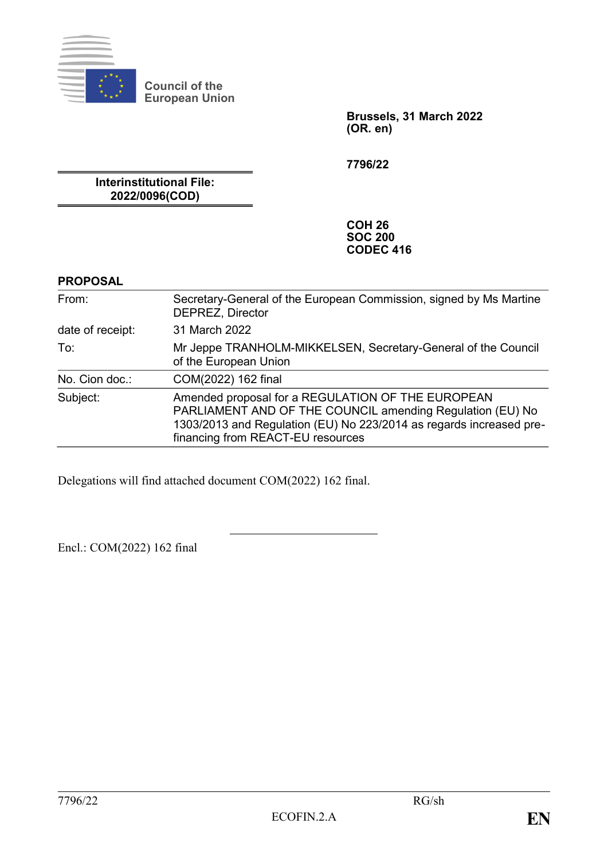

**Council of the European Union**

> **Brussels, 31 March 2022 (OR. en)**

**7796/22**

**Interinstitutional File: 2022/0096(COD)**

> **COH 26 SOC 200 CODEC 416**

#### **PROPOSAL**

| From:            | Secretary-General of the European Commission, signed by Ms Martine<br>DEPREZ, Director                                                                                                                                     |
|------------------|----------------------------------------------------------------------------------------------------------------------------------------------------------------------------------------------------------------------------|
| date of receipt: | 31 March 2022                                                                                                                                                                                                              |
| To:              | Mr Jeppe TRANHOLM-MIKKELSEN, Secretary-General of the Council<br>of the European Union                                                                                                                                     |
| No. Cion doc.:   | COM(2022) 162 final                                                                                                                                                                                                        |
| Subject:         | Amended proposal for a REGULATION OF THE EUROPEAN<br>PARLIAMENT AND OF THE COUNCIL amending Regulation (EU) No<br>1303/2013 and Regulation (EU) No 223/2014 as regards increased pre-<br>financing from REACT-EU resources |

Delegations will find attached document COM(2022) 162 final.

Encl.: COM(2022) 162 final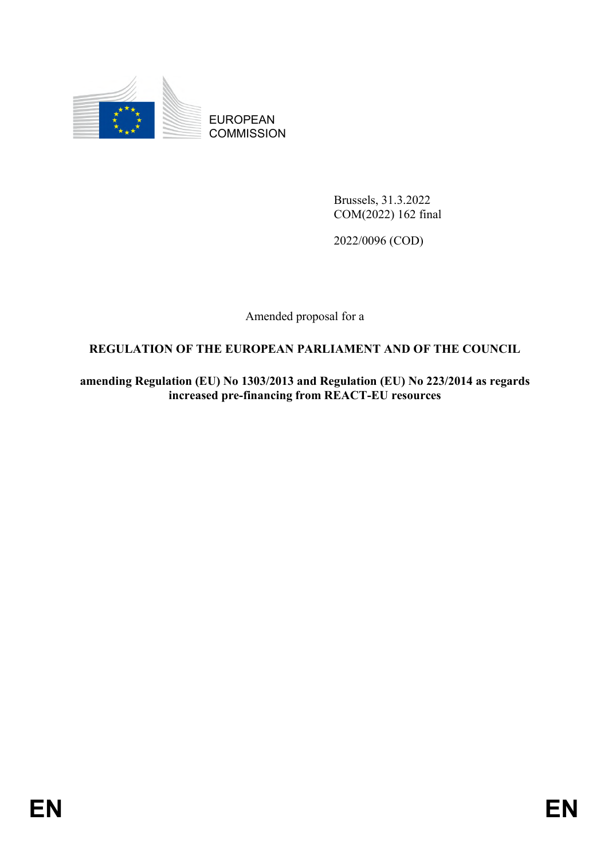

EUROPEAN **COMMISSION** 

> Brussels, 31.3.2022 COM(2022) 162 final

2022/0096 (COD)

Amended proposal for a

## **REGULATION OF THE EUROPEAN PARLIAMENT AND OF THE COUNCIL**

**amending Regulation (EU) No 1303/2013 and Regulation (EU) No 223/2014 as regards increased pre-financing from REACT-EU resources**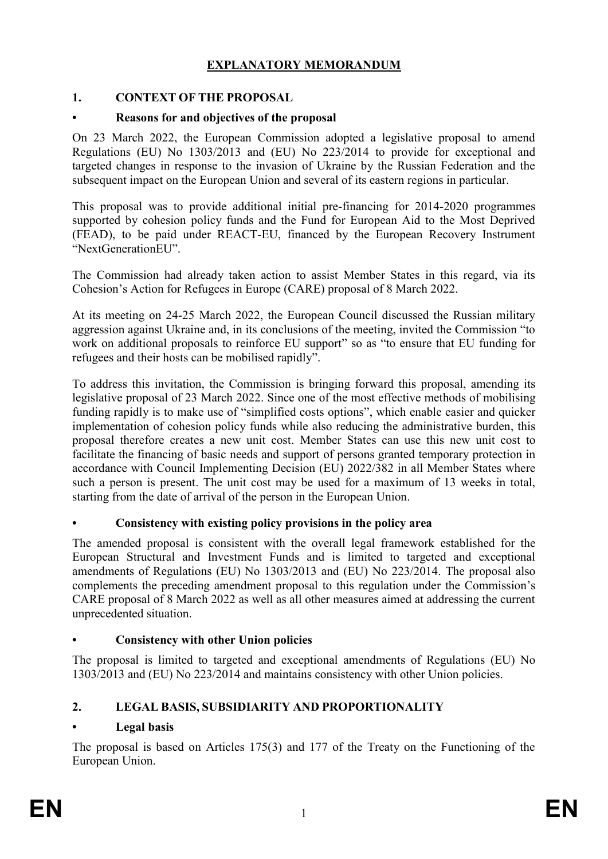## **EXPLANATORY MEMORANDUM**

## **1. CONTEXT OF THE PROPOSAL**

#### **• Reasons for and objectives of the proposal**

On 23 March 2022, the European Commission adopted a legislative proposal to amend Regulations (EU) No 1303/2013 and (EU) No 223/2014 to provide for exceptional and targeted changes in response to the invasion of Ukraine by the Russian Federation and the subsequent impact on the European Union and several of its eastern regions in particular.

This proposal was to provide additional initial pre-financing for 2014-2020 programmes supported by cohesion policy funds and the Fund for European Aid to the Most Deprived (FEAD), to be paid under REACT-EU, financed by the European Recovery Instrument "NextGenerationEU".

The Commission had already taken action to assist Member States in this regard, via its Cohesion's Action for Refugees in Europe (CARE) proposal of 8 March 2022.

At its meeting on 24-25 March 2022, the European Council discussed the Russian military aggression against Ukraine and, in its conclusions of the meeting, invited the Commission "to work on additional proposals to reinforce EU support" so as "to ensure that EU funding for refugees and their hosts can be mobilised rapidly".

To address this invitation, the Commission is bringing forward this proposal, amending its legislative proposal of 23 March 2022. Since one of the most effective methods of mobilising funding rapidly is to make use of "simplified costs options", which enable easier and quicker implementation of cohesion policy funds while also reducing the administrative burden, this proposal therefore creates a new unit cost. Member States can use this new unit cost to facilitate the financing of basic needs and support of persons granted temporary protection in accordance with Council Implementing Decision (EU) 2022/382 in all Member States where such a person is present. The unit cost may be used for a maximum of 13 weeks in total, starting from the date of arrival of the person in the European Union.

#### **• Consistency with existing policy provisions in the policy area**

The amended proposal is consistent with the overall legal framework established for the European Structural and Investment Funds and is limited to targeted and exceptional amendments of Regulations (EU) No 1303/2013 and (EU) No 223/2014. The proposal also complements the preceding amendment proposal to this regulation under the Commission's CARE proposal of 8 March 2022 as well as all other measures aimed at addressing the current unprecedented situation.

#### **• Consistency with other Union policies**

The proposal is limited to targeted and exceptional amendments of Regulations (EU) No 1303/2013 and (EU) No 223/2014 and maintains consistency with other Union policies.

## **2. LEGAL BASIS, SUBSIDIARITY AND PROPORTIONALITY**

## **• Legal basis**

The proposal is based on Articles 175(3) and 177 of the Treaty on the Functioning of the European Union.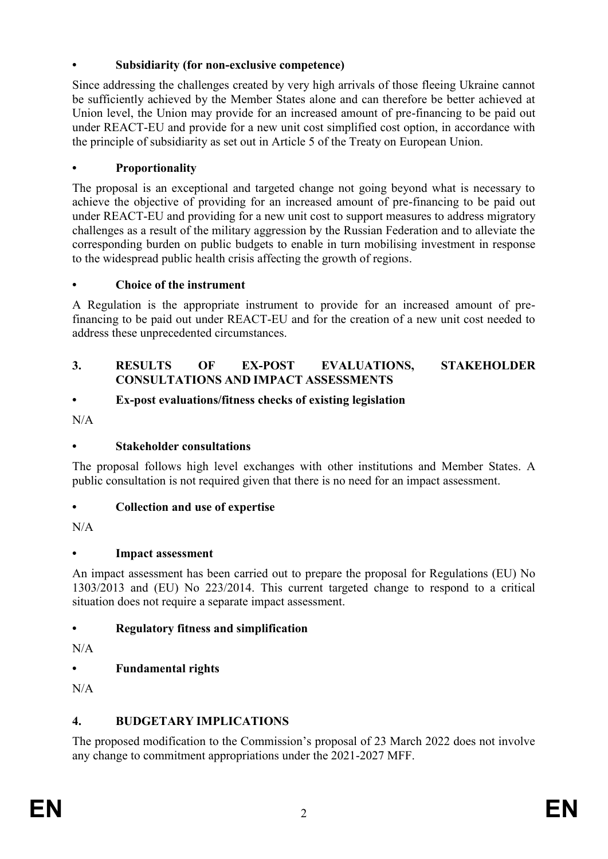### **• Subsidiarity (for non-exclusive competence)**

Since addressing the challenges created by very high arrivals of those fleeing Ukraine cannot be sufficiently achieved by the Member States alone and can therefore be better achieved at Union level, the Union may provide for an increased amount of pre-financing to be paid out under REACT-EU and provide for a new unit cost simplified cost option, in accordance with the principle of subsidiarity as set out in Article 5 of the Treaty on European Union.

#### **• Proportionality**

The proposal is an exceptional and targeted change not going beyond what is necessary to achieve the objective of providing for an increased amount of pre-financing to be paid out under REACT-EU and providing for a new unit cost to support measures to address migratory challenges as a result of the military aggression by the Russian Federation and to alleviate the corresponding burden on public budgets to enable in turn mobilising investment in response to the widespread public health crisis affecting the growth of regions.

#### **• Choice of the instrument**

A Regulation is the appropriate instrument to provide for an increased amount of prefinancing to be paid out under REACT-EU and for the creation of a new unit cost needed to address these unprecedented circumstances.

#### **3. RESULTS OF EX-POST EVALUATIONS, STAKEHOLDER CONSULTATIONS AND IMPACT ASSESSMENTS**

#### **• Ex-post evaluations/fitness checks of existing legislation**

 $N/A$ 

## **• Stakeholder consultations**

The proposal follows high level exchanges with other institutions and Member States. A public consultation is not required given that there is no need for an impact assessment.

## **• Collection and use of expertise**

 $N/A$ 

## **• Impact assessment**

An impact assessment has been carried out to prepare the proposal for Regulations (EU) No 1303/2013 and (EU) No 223/2014. This current targeted change to respond to a critical situation does not require a separate impact assessment.

## **• Regulatory fitness and simplification**

N/A

## **• Fundamental rights**

 $N/A$ 

## **4. BUDGETARY IMPLICATIONS**

The proposed modification to the Commission's proposal of 23 March 2022 does not involve any change to commitment appropriations under the 2021-2027 MFF.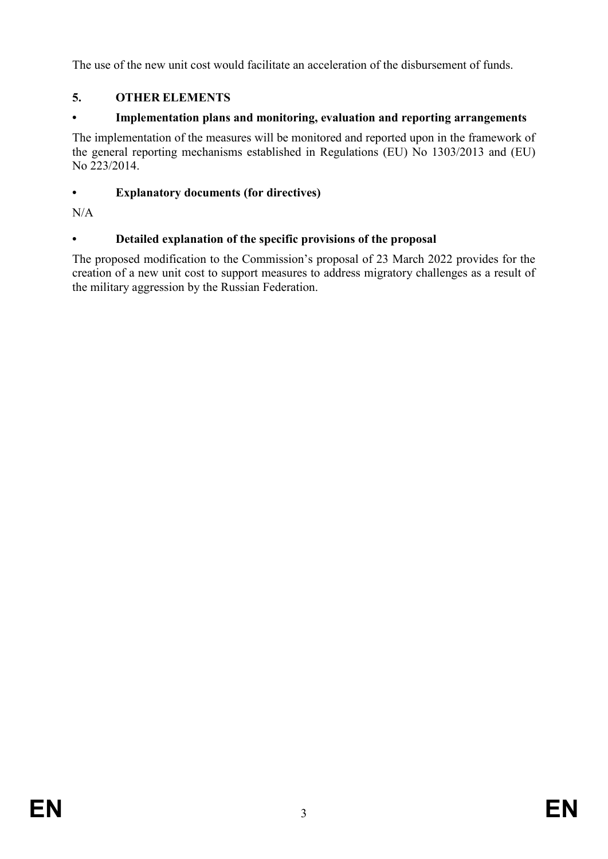The use of the new unit cost would facilitate an acceleration of the disbursement of funds.

# **5. OTHER ELEMENTS**

## **• Implementation plans and monitoring, evaluation and reporting arrangements**

The implementation of the measures will be monitored and reported upon in the framework of the general reporting mechanisms established in Regulations (EU) No 1303/2013 and (EU) No 223/2014.

## **• Explanatory documents (for directives)**

 $N/A$ 

## **• Detailed explanation of the specific provisions of the proposal**

The proposed modification to the Commission's proposal of 23 March 2022 provides for the creation of a new unit cost to support measures to address migratory challenges as a result of the military aggression by the Russian Federation.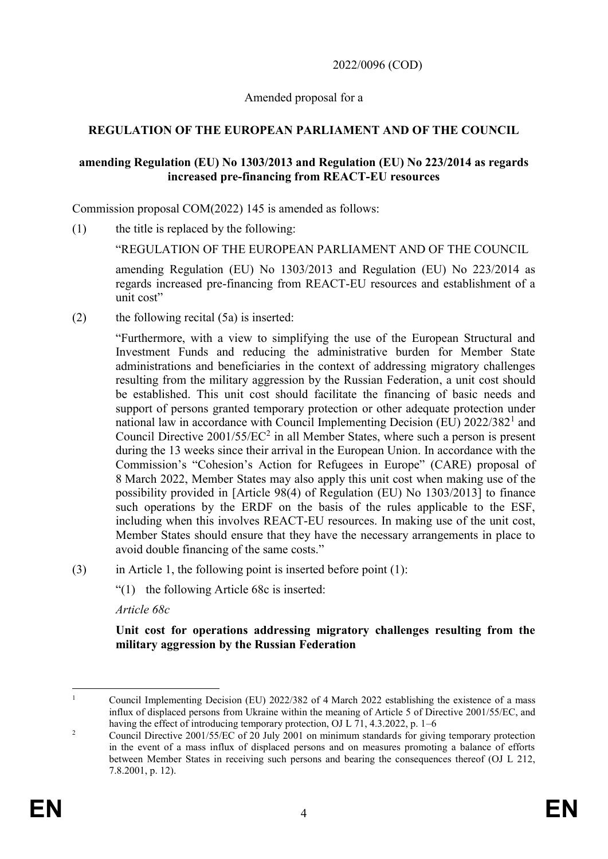2022/0096 (COD)

Amended proposal for a

### **REGULATION OF THE EUROPEAN PARLIAMENT AND OF THE COUNCIL**

#### **amending Regulation (EU) No 1303/2013 and Regulation (EU) No 223/2014 as regards increased pre-financing from REACT-EU resources**

Commission proposal COM(2022) 145 is amended as follows:

(1) the title is replaced by the following:

"REGULATION OF THE EUROPEAN PARLIAMENT AND OF THE COUNCIL

amending Regulation (EU) No 1303/2013 and Regulation (EU) No 223/2014 as regards increased pre-financing from REACT-EU resources and establishment of a unit cost"

(2) the following recital (5a) is inserted:

"Furthermore, with a view to simplifying the use of the European Structural and Investment Funds and reducing the administrative burden for Member State administrations and beneficiaries in the context of addressing migratory challenges resulting from the military aggression by the Russian Federation, a unit cost should be established. This unit cost should facilitate the financing of basic needs and support of persons granted temporary protection or other adequate protection under national law in accordance with Council Implementing Decision (EU) 2022/382<sup>1</sup> and Council Directive  $2001/55/EC^2$  in all Member States, where such a person is present during the 13 weeks since their arrival in the European Union. In accordance with the Commission's "Cohesion's Action for Refugees in Europe" (CARE) proposal of 8 March 2022, Member States may also apply this unit cost when making use of the possibility provided in [Article 98(4) of Regulation (EU) No 1303/2013] to finance such operations by the ERDF on the basis of the rules applicable to the ESF, including when this involves REACT-EU resources. In making use of the unit cost, Member States should ensure that they have the necessary arrangements in place to avoid double financing of the same costs."

- (3) in Article 1, the following point is inserted before point (1):
	- "(1) the following Article 68c is inserted:

*Article 68c* 

**Unit cost for operations addressing migratory challenges resulting from the military aggression by the Russian Federation**

 $\mathbf{1}$ <sup>1</sup> Council Implementing Decision (EU) 2022/382 of 4 March 2022 establishing the existence of a mass influx of displaced persons from Ukraine within the meaning of Article 5 of Directive 2001/55/EC, and having the effect of introducing temporary protection, OJ L 71, 4.3.2022, p. 1–6

<sup>&</sup>lt;sup>2</sup> Council Directive 2001/55/EC of 20 July 2001 on minimum standards for giving temporary protection in the event of a mass influx of displaced persons and on measures promoting a balance of efforts between Member States in receiving such persons and bearing the consequences thereof (OJ L 212, 7.8.2001, p. 12).